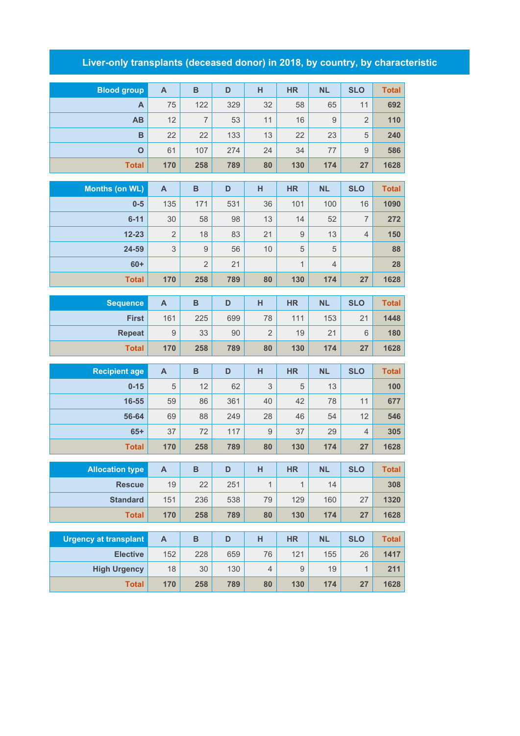## **Liver-only transplants (deceased donor) in 2018, by country, by characteristic**

| <b>Blood group</b>           | $\mathsf{A}$   | $\, {\bf B}$   | D   | н              | <b>HR</b>    | <b>NL</b>      | <b>SLO</b>     | <b>Total</b> |
|------------------------------|----------------|----------------|-----|----------------|--------------|----------------|----------------|--------------|
| A                            | 75             | 122            | 329 | 32             | 58           | 65             | 11             | 692          |
| AB                           | 12             | $\overline{7}$ | 53  | 11             | 16           | $9$            | $\overline{2}$ | 110          |
| B                            | 22             | 22             | 133 | 13             | 22           | 23             | 5              | 240          |
| $\mathbf{o}$                 | 61             | 107            | 274 | 24             | 34           | 77             | $\mathsf 9$    | 586          |
| <b>Total</b>                 | 170            | 258            | 789 | 80             | 130          | 174            | 27             | 1628         |
|                              |                |                |     |                |              |                |                |              |
| <b>Months (on WL)</b>        | $\mathsf{A}$   | $\, {\bf B}$   | D   | H              | <b>HR</b>    | <b>NL</b>      | <b>SLO</b>     | <b>Total</b> |
| $0-5$                        | 135            | 171            | 531 | 36             | 101          | 100            | 16             | 1090         |
| $6 - 11$                     | 30             | 58             | 98  | 13             | 14           | 52             | $\overline{7}$ | 272          |
| $12 - 23$                    | $\overline{2}$ | 18             | 83  | 21             | $\hbox{9}$   | 13             | 4              | 150          |
| 24-59                        | 3              | $\mathsf g$    | 56  | 10             | 5            | 5              |                | 88           |
| $60+$                        |                | $\overline{2}$ | 21  |                | $\mathbf{1}$ | $\overline{4}$ |                | 28           |
| <b>Total</b>                 | 170            | 258            | 789 | 80             | 130          | 174            | 27             | 1628         |
| <b>Sequence</b>              | A              | $\, {\bf B}$   | D   | H              | <b>HR</b>    | <b>NL</b>      | <b>SLO</b>     | <b>Total</b> |
| <b>First</b>                 | 161            | 225            | 699 | 78             | 111          | 153            | 21             | 1448         |
| <b>Repeat</b>                | $\hbox{9}$     | 33             | 90  | $\overline{2}$ | 19           | 21             | 6              | 180          |
| <b>Total</b>                 | 170            | 258            | 789 | 80             | 130          | 174            | 27             | 1628         |
|                              |                |                |     |                |              |                |                |              |
| <b>Recipient age</b>         | $\mathsf{A}$   | $\, {\bf B}$   | D   | H              | <b>HR</b>    | <b>NL</b>      | <b>SLO</b>     | <b>Total</b> |
| $0 - 15$                     | 5              | 12             | 62  | 3              | 5            | 13             |                | 100          |
| 16-55                        | 59             | 86             | 361 | 40             | 42           | 78             | 11             | 677          |
| 56-64                        | 69             | 88             | 249 | 28             | 46           | 54             | 12             | 546          |
| $65+$                        | 37             | 72             | 117 | $\overline{9}$ | 37           | 29             | 4              | 305          |
| <b>Total</b>                 | 170            | 258            | 789 | 80             | 130          | 174            | 27             | 1628         |
| <b>Allocation type</b>       | A              | B              | D   | H              | <b>HR</b>    | <b>NL</b>      | <b>SLO</b>     | Total        |
| <b>Rescue</b>                | 19             | 22             | 251 | $\mathbf{1}$   | $\mathbf{1}$ | 14             |                | 308          |
| <b>Standard</b>              | 151            | 236            | 538 | 79             | 129          | 160            | 27             | 1320         |
| <b>Total</b>                 | 170            | 258            | 789 | 80             | 130          | 174            | 27             | 1628         |
|                              |                |                |     |                |              |                |                |              |
| <b>Urgency at transplant</b> | $\mathsf{A}$   | $\, {\bf B}$   | D   | H              | <b>HR</b>    | <b>NL</b>      | <b>SLO</b>     | <b>Total</b> |
| <b>Elective</b>              | 152            | 228            | 659 | 76             | 121          | 155            | 26             | 1417         |
| <b>High Urgency</b>          | 18             | 30             | 130 | $\sqrt{4}$     | $\hbox{9}$   | 19             | $\mathbf{1}$   | 211          |
|                              |                |                |     |                |              |                |                |              |